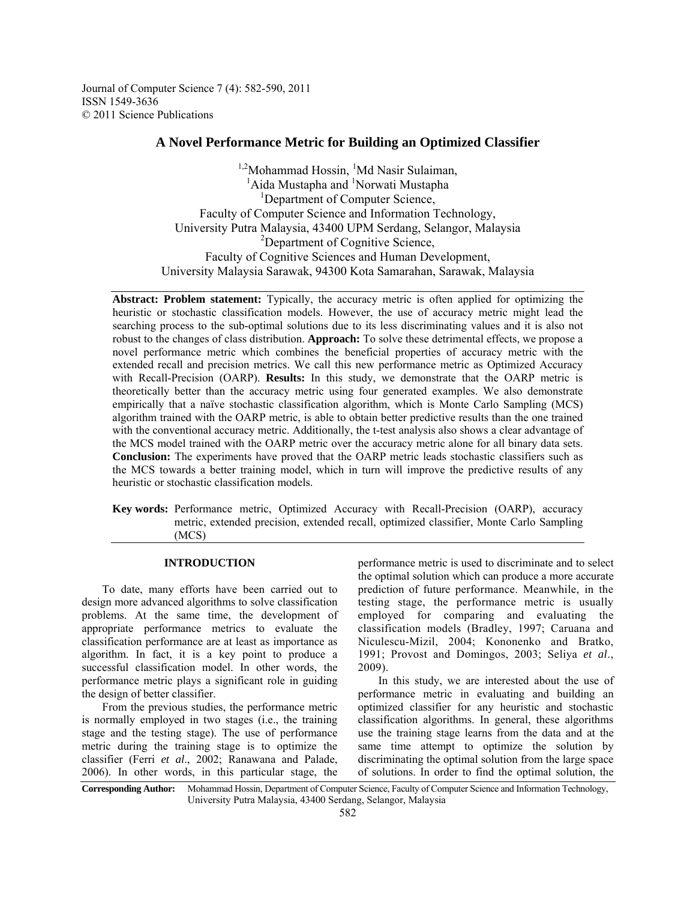Journal of Computer Science 7 (4): 582-590, 2011 ISSN 1549-3636 © 2011 Science Publications

# **A Novel Performance Metric for Building an Optimized Classifier**

<sup>1,2</sup>Mohammad Hossin, <sup>1</sup>Md Nasir Sulaiman, <sup>1</sup>Aida Mustapha and <sup>1</sup>Norwati Mustapha <sup>1</sup>Department of Computer Science, Faculty of Computer Science and Information Technology, University Putra Malaysia, 43400 UPM Serdang, Selangor, Malaysia <sup>2</sup>Department of Cognitive Science, Faculty of Cognitive Sciences and Human Development, University Malaysia Sarawak, 94300 Kota Samarahan, Sarawak, Malaysia

**Abstract: Problem statement:** Typically, the accuracy metric is often applied for optimizing the heuristic or stochastic classification models. However, the use of accuracy metric might lead the searching process to the sub-optimal solutions due to its less discriminating values and it is also not robust to the changes of class distribution. **Approach:** To solve these detrimental effects, we propose a novel performance metric which combines the beneficial properties of accuracy metric with the extended recall and precision metrics. We call this new performance metric as Optimized Accuracy with Recall-Precision (OARP). **Results:** In this study, we demonstrate that the OARP metric is theoretically better than the accuracy metric using four generated examples. We also demonstrate empirically that a naïve stochastic classification algorithm, which is Monte Carlo Sampling (MCS) algorithm trained with the OARP metric, is able to obtain better predictive results than the one trained with the conventional accuracy metric. Additionally, the t-test analysis also shows a clear advantage of the MCS model trained with the OARP metric over the accuracy metric alone for all binary data sets. **Conclusion:** The experiments have proved that the OARP metric leads stochastic classifiers such as the MCS towards a better training model, which in turn will improve the predictive results of any heuristic or stochastic classification models.

**Key words:** Performance metric, Optimized Accuracy with Recall-Precision (OARP), accuracy metric, extended precision, extended recall, optimized classifier, Monte Carlo Sampling (MCS)

# **INTRODUCTION**

 To date, many efforts have been carried out to design more advanced algorithms to solve classification problems. At the same time, the development of appropriate performance metrics to evaluate the classification performance are at least as importance as algorithm. In fact, it is a key point to produce a successful classification model. In other words, the performance metric plays a significant role in guiding the design of better classifier.

 From the previous studies, the performance metric is normally employed in two stages (i.e., the training stage and the testing stage). The use of performance metric during the training stage is to optimize the classifier (Ferri *et al*., 2002; Ranawana and Palade, 2006). In other words, in this particular stage, the

performance metric is used to discriminate and to select the optimal solution which can produce a more accurate prediction of future performance. Meanwhile, in the testing stage, the performance metric is usually employed for comparing and evaluating the classification models (Bradley, 1997; Caruana and Niculescu-Mizil, 2004; Kononenko and Bratko, 1991; Provost and Domingos, 2003; Seliya *et al*., 2009).

 In this study, we are interested about the use of performance metric in evaluating and building an optimized classifier for any heuristic and stochastic classification algorithms. In general, these algorithms use the training stage learns from the data and at the same time attempt to optimize the solution by discriminating the optimal solution from the large space of solutions. In order to find the optimal solution, the

**Corresponding Author:** Mohammad Hossin, Department of Computer Science, Faculty of Computer Science and Information Technology, University Putra Malaysia, 43400 Serdang, Selangor, Malaysia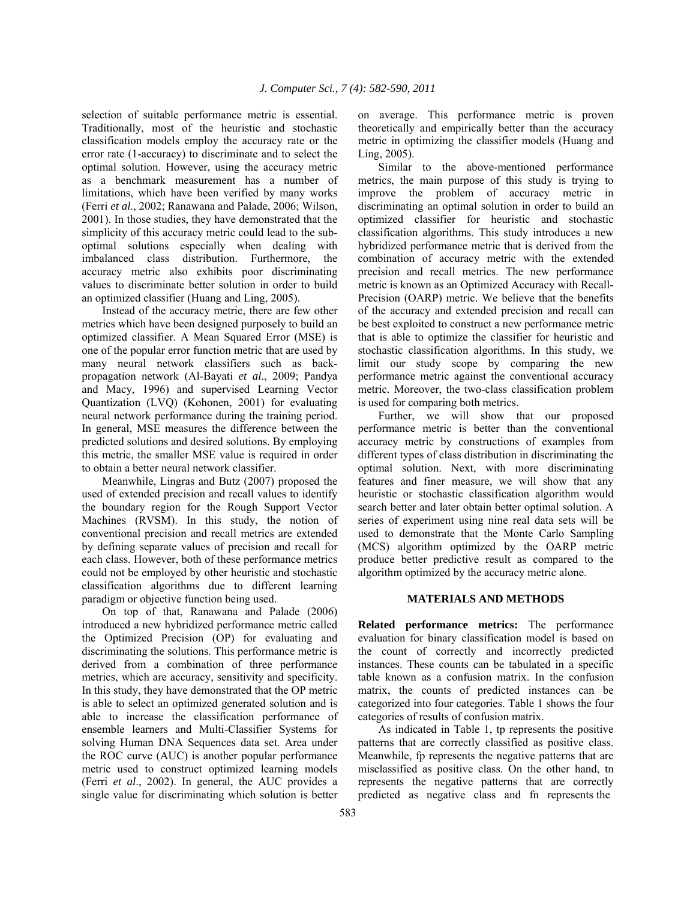selection of suitable performance metric is essential. Traditionally, most of the heuristic and stochastic classification models employ the accuracy rate or the error rate (1-accuracy) to discriminate and to select the optimal solution. However, using the accuracy metric as a benchmark measurement has a number of limitations, which have been verified by many works (Ferri *et al*., 2002; Ranawana and Palade, 2006; Wilson, 2001). In those studies, they have demonstrated that the simplicity of this accuracy metric could lead to the suboptimal solutions especially when dealing with imbalanced class distribution. Furthermore, the accuracy metric also exhibits poor discriminating values to discriminate better solution in order to build an optimized classifier (Huang and Ling, 2005).

 Instead of the accuracy metric, there are few other metrics which have been designed purposely to build an optimized classifier. A Mean Squared Error (MSE) is one of the popular error function metric that are used by many neural network classifiers such as backpropagation network (Al-Bayati *et al*., 2009; Pandya and Macy, 1996) and supervised Learning Vector Quantization (LVQ) (Kohonen, 2001) for evaluating neural network performance during the training period. In general, MSE measures the difference between the predicted solutions and desired solutions. By employing this metric, the smaller MSE value is required in order to obtain a better neural network classifier.

 Meanwhile, Lingras and Butz (2007) proposed the used of extended precision and recall values to identify the boundary region for the Rough Support Vector Machines (RVSM). In this study, the notion of conventional precision and recall metrics are extended by defining separate values of precision and recall for each class. However, both of these performance metrics could not be employed by other heuristic and stochastic classification algorithms due to different learning paradigm or objective function being used.

 On top of that, Ranawana and Palade (2006) introduced a new hybridized performance metric called the Optimized Precision (OP) for evaluating and discriminating the solutions. This performance metric is derived from a combination of three performance metrics, which are accuracy, sensitivity and specificity. In this study, they have demonstrated that the OP metric is able to select an optimized generated solution and is able to increase the classification performance of ensemble learners and Multi-Classifier Systems for solving Human DNA Sequences data set. Area under the ROC curve (AUC) is another popular performance metric used to construct optimized learning models (Ferri *et al*., 2002). In general, the AUC provides a single value for discriminating which solution is better

on average. This performance metric is proven theoretically and empirically better than the accuracy metric in optimizing the classifier models (Huang and Ling, 2005).

 Similar to the above-mentioned performance metrics, the main purpose of this study is trying to improve the problem of accuracy metric in discriminating an optimal solution in order to build an optimized classifier for heuristic and stochastic classification algorithms. This study introduces a new hybridized performance metric that is derived from the combination of accuracy metric with the extended precision and recall metrics. The new performance metric is known as an Optimized Accuracy with Recall-Precision (OARP) metric. We believe that the benefits of the accuracy and extended precision and recall can be best exploited to construct a new performance metric that is able to optimize the classifier for heuristic and stochastic classification algorithms. In this study, we limit our study scope by comparing the new performance metric against the conventional accuracy metric. Moreover, the two-class classification problem is used for comparing both metrics.

 Further, we will show that our proposed performance metric is better than the conventional accuracy metric by constructions of examples from different types of class distribution in discriminating the optimal solution. Next, with more discriminating features and finer measure, we will show that any heuristic or stochastic classification algorithm would search better and later obtain better optimal solution. A series of experiment using nine real data sets will be used to demonstrate that the Monte Carlo Sampling (MCS) algorithm optimized by the OARP metric produce better predictive result as compared to the algorithm optimized by the accuracy metric alone.

#### **MATERIALS AND METHODS**

**Related performance metrics:** The performance evaluation for binary classification model is based on the count of correctly and incorrectly predicted instances. These counts can be tabulated in a specific table known as a confusion matrix. In the confusion matrix, the counts of predicted instances can be categorized into four categories. Table 1 shows the four categories of results of confusion matrix.

 As indicated in Table 1, tp represents the positive patterns that are correctly classified as positive class. Meanwhile, fp represents the negative patterns that are misclassified as positive class. On the other hand, tn represents the negative patterns that are correctly predicted as negative class and fn represents the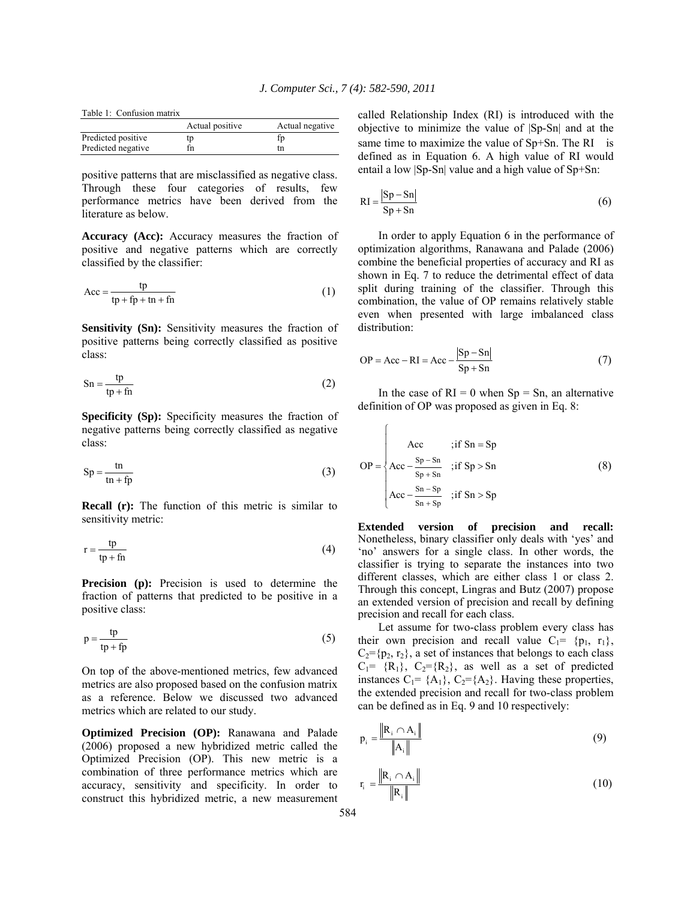Table 1: Confusion matrix

|                    | Actual positive | Actual negative |
|--------------------|-----------------|-----------------|
| Predicted positive | tp              | fp              |
| Predicted negative | fn              | tn              |

positive patterns that are misclassified as negative class. Through these four categories of results, few performance metrics have been derived from the literature as below.

**Accuracy (Acc):** Accuracy measures the fraction of positive and negative patterns which are correctly classified by the classifier:

$$
Acc = \frac{tp}{tp + fp + tn + fn}
$$
 (1)

**Sensitivity (Sn):** Sensitivity measures the fraction of positive patterns being correctly classified as positive class:

$$
Sn = \frac{tp}{tp + fn}
$$
 (2)

**Specificity (Sp):** Specificity measures the fraction of negative patterns being correctly classified as negative class:

$$
Sp = \frac{tn}{tn + fp}
$$
 (3)

**Recall (r):** The function of this metric is similar to sensitivity metric:

$$
r = \frac{tp}{tp + fn} \tag{4}
$$

**Precision (p):** Precision is used to determine the fraction of patterns that predicted to be positive in a positive class:

$$
p = \frac{tp}{tp + fp}
$$
 (5)

On top of the above-mentioned metrics, few advanced metrics are also proposed based on the confusion matrix as a reference. Below we discussed two advanced metrics which are related to our study.

**Optimized Precision (OP):** Ranawana and Palade (2006) proposed a new hybridized metric called the Optimized Precision (OP). This new metric is a combination of three performance metrics which are accuracy, sensitivity and specificity. In order to construct this hybridized metric, a new measurement

called Relationship Index (RI) is introduced with the objective to minimize the value of |Sp-Sn| and at the same time to maximize the value of Sp+Sn. The RI is defined as in Equation 6. A high value of RI would entail a low |Sp-Sn| value and a high value of Sp+Sn:

$$
RI = \frac{|Sp - Sn|}{Sp + Sn}
$$
 (6)

 In order to apply Equation 6 in the performance of optimization algorithms, Ranawana and Palade (2006) combine the beneficial properties of accuracy and RI as shown in Eq. 7 to reduce the detrimental effect of data split during training of the classifier. Through this combination, the value of OP remains relatively stable even when presented with large imbalanced class distribution:

$$
OP = Acc - RI = Acc - \frac{|Sp - Sn|}{Sp + Sn}
$$
 (7)

In the case of  $RI = 0$  when  $Sp = Sn$ , an alternative definition of OP was proposed as given in Eq. 8:

 $\sqrt{ }$ 

$$
OP = \begin{cases} \text{Acc} & \text{if } \text{Sn} = \text{Sp} \\ \text{Acc} - \frac{\text{Sp} - \text{Sn}}{\text{Sp} + \text{Sn}} & \text{if } \text{Sp} > \text{Sn} \\ \text{Acc} - \frac{\text{Sn} - \text{Sp}}{\text{Sn} + \text{Sp}} & \text{if } \text{Sn} > \text{Sp} \end{cases} \tag{8}
$$

**Extended version of precision and recall:**  Nonetheless, binary classifier only deals with 'yes' and 'no' answers for a single class. In other words, the classifier is trying to separate the instances into two different classes, which are either class 1 or class 2. Through this concept, Lingras and Butz (2007) propose an extended version of precision and recall by defining precision and recall for each class.

 Let assume for two-class problem every class has their own precision and recall value  $C_1 = \{p_1, r_1\}$ ,  $C_2 = \{p_2, r_2\}$ , a set of instances that belongs to each class  $C_1$ = {R<sub>1</sub>},  $C_2$ ={R<sub>2</sub>}, as well as a set of predicted instances  $C_1$ = {A<sub>1</sub>},  $C_2$ ={A<sub>2</sub>}. Having these properties, the extended precision and recall for two-class problem can be defined as in Eq. 9 and 10 respectively:

$$
p_i = \frac{\left\| R_i \cap A_i \right\|}{\left\| A_i \right\|} \tag{9}
$$

$$
\mathbf{r}_{i} = \frac{\|\mathbf{R}_{i} \cap \mathbf{A}_{i}\|}{\|\mathbf{R}_{i}\|} \tag{10}
$$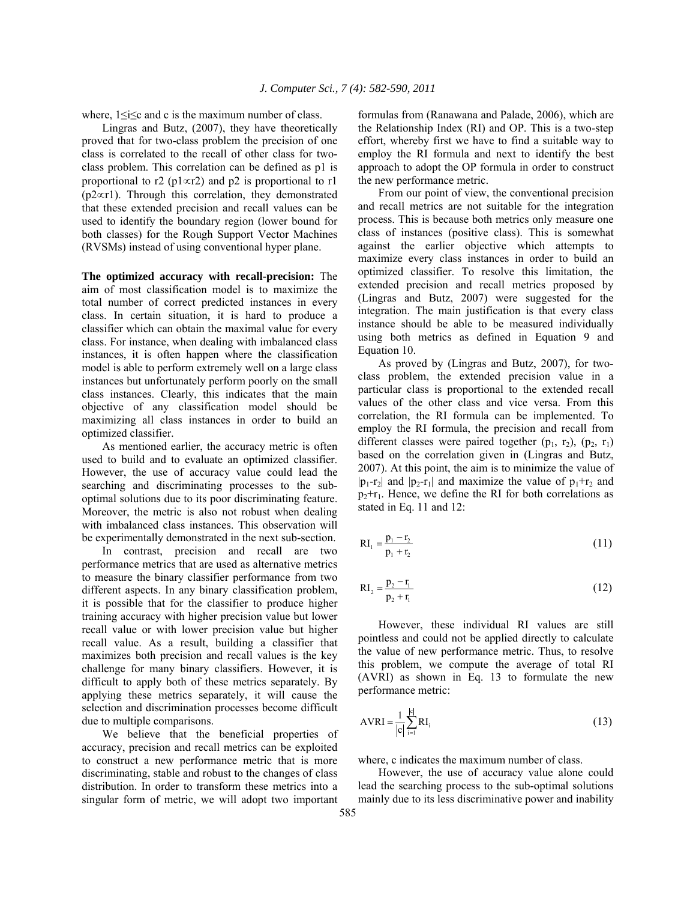where,  $1 \le i \le c$  and c is the maximum number of class.

 Lingras and Butz, (2007), they have theoretically proved that for two-class problem the precision of one class is correlated to the recall of other class for twoclass problem. This correlation can be defined as p1 is proportional to r2 (p1∝r2) and p2 is proportional to r1 (p2∝r1). Through this correlation, they demonstrated that these extended precision and recall values can be used to identify the boundary region (lower bound for both classes) for the Rough Support Vector Machines (RVSMs) instead of using conventional hyper plane.

**The optimized accuracy with recall-precision:** The aim of most classification model is to maximize the total number of correct predicted instances in every class. In certain situation, it is hard to produce a classifier which can obtain the maximal value for every class. For instance, when dealing with imbalanced class instances, it is often happen where the classification model is able to perform extremely well on a large class instances but unfortunately perform poorly on the small class instances. Clearly, this indicates that the main objective of any classification model should be maximizing all class instances in order to build an optimized classifier.

 As mentioned earlier, the accuracy metric is often used to build and to evaluate an optimized classifier. However, the use of accuracy value could lead the searching and discriminating processes to the suboptimal solutions due to its poor discriminating feature. Moreover, the metric is also not robust when dealing with imbalanced class instances. This observation will be experimentally demonstrated in the next sub-section.

 In contrast, precision and recall are two performance metrics that are used as alternative metrics to measure the binary classifier performance from two different aspects. In any binary classification problem, it is possible that for the classifier to produce higher training accuracy with higher precision value but lower recall value or with lower precision value but higher recall value. As a result, building a classifier that maximizes both precision and recall values is the key challenge for many binary classifiers. However, it is difficult to apply both of these metrics separately. By applying these metrics separately, it will cause the selection and discrimination processes become difficult due to multiple comparisons.

 We believe that the beneficial properties of accuracy, precision and recall metrics can be exploited to construct a new performance metric that is more discriminating, stable and robust to the changes of class distribution. In order to transform these metrics into a singular form of metric, we will adopt two important

formulas from (Ranawana and Palade, 2006), which are the Relationship Index (RI) and OP. This is a two-step effort, whereby first we have to find a suitable way to employ the RI formula and next to identify the best approach to adopt the OP formula in order to construct the new performance metric.

 From our point of view, the conventional precision and recall metrics are not suitable for the integration process. This is because both metrics only measure one class of instances (positive class). This is somewhat against the earlier objective which attempts to maximize every class instances in order to build an optimized classifier. To resolve this limitation, the extended precision and recall metrics proposed by (Lingras and Butz, 2007) were suggested for the integration. The main justification is that every class instance should be able to be measured individually using both metrics as defined in Equation 9 and Equation 10.

 As proved by (Lingras and Butz, 2007), for twoclass problem, the extended precision value in a particular class is proportional to the extended recall values of the other class and vice versa. From this correlation, the RI formula can be implemented. To employ the RI formula, the precision and recall from different classes were paired together  $(p_1, r_2)$ ,  $(p_2, r_1)$ based on the correlation given in (Lingras and Butz, 2007). At this point, the aim is to minimize the value of  $|p_1-r_2|$  and  $|p_2-r_1|$  and maximize the value of  $p_1+r_2$  and  $p_2+r_1$ . Hence, we define the RI for both correlations as stated in Eq. 11 and 12:

$$
RI_1 = \frac{p_1 - r_2}{p_1 + r_2} \tag{11}
$$

$$
RI_2 = \frac{p_2 - r_1}{p_2 + r_1}
$$
 (12)

 However, these individual RI values are still pointless and could not be applied directly to calculate the value of new performance metric. Thus, to resolve this problem, we compute the average of total RI (AVRI) as shown in Eq. 13 to formulate the new performance metric:

$$
AVRI = \frac{1}{|c|} \sum_{i=1}^{|c|} RI_i
$$
 (13)

where, c indicates the maximum number of class.

 However, the use of accuracy value alone could lead the searching process to the sub-optimal solutions mainly due to its less discriminative power and inability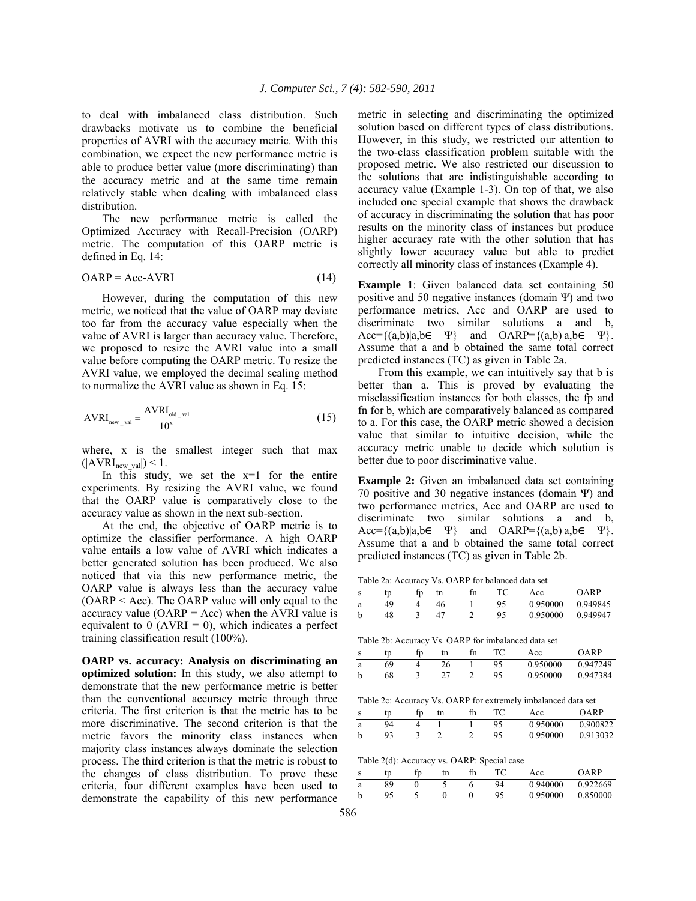to deal with imbalanced class distribution. Such drawbacks motivate us to combine the beneficial properties of AVRI with the accuracy metric. With this combination, we expect the new performance metric is able to produce better value (more discriminating) than the accuracy metric and at the same time remain relatively stable when dealing with imbalanced class distribution.

 The new performance metric is called the Optimized Accuracy with Recall-Precision (OARP) metric. The computation of this OARP metric is defined in Eq. 14:

$$
OARP = Acc-AVRI
$$
 (14)

 However, during the computation of this new metric, we noticed that the value of OARP may deviate too far from the accuracy value especially when the value of AVRI is larger than accuracy value. Therefore, we proposed to resize the AVRI value into a small value before computing the OARP metric. To resize the AVRI value, we employed the decimal scaling method to normalize the AVRI value as shown in Eq. 15:

$$
AVRI_{new\_val} = \frac{AVRI_{old\_val}}{10^x}
$$
 (15)

where, x is the smallest integer such that max  $(|AVRI_{new\ val}|)$  < 1.

In this study, we set the  $x=1$  for the entire experiments. By resizing the AVRI value, we found that the OARP value is comparatively close to the accuracy value as shown in the next sub-section.

 At the end, the objective of OARP metric is to optimize the classifier performance. A high OARP value entails a low value of AVRI which indicates a better generated solution has been produced. We also noticed that via this new performance metric, the OARP value is always less than the accuracy value (OARP < Acc). The OARP value will only equal to the accuracy value ( $OARP = Acc$ ) when the AVRI value is equivalent to  $0$  (AVRI = 0), which indicates a perfect training classification result (100%).

**OARP vs. accuracy: Analysis on discriminating an optimized solution:** In this study, we also attempt to demonstrate that the new performance metric is better than the conventional accuracy metric through three criteria. The first criterion is that the metric has to be more discriminative. The second criterion is that the metric favors the minority class instances when majority class instances always dominate the selection process. The third criterion is that the metric is robust to the changes of class distribution. To prove these criteria, four different examples have been used to demonstrate the capability of this new performance

metric in selecting and discriminating the optimized solution based on different types of class distributions. However, in this study, we restricted our attention to the two-class classification problem suitable with the proposed metric. We also restricted our discussion to the solutions that are indistinguishable according to accuracy value (Example 1-3). On top of that, we also included one special example that shows the drawback of accuracy in discriminating the solution that has poor results on the minority class of instances but produce higher accuracy rate with the other solution that has slightly lower accuracy value but able to predict correctly all minority class of instances (Example 4).

**Example 1**: Given balanced data set containing 50 positive and 50 negative instances (domain Ψ) and two performance metrics, Acc and OARP are used to discriminate two similar solutions a and b,  $Acc=\{(a,b)|a,b\in\Psi\}$  and  $OARP=\{(a,b)|a,b\in\Psi\}.$ Assume that a and b obtained the same total correct predicted instances (TC) as given in Table 2a.

 From this example, we can intuitively say that b is better than a. This is proved by evaluating the misclassification instances for both classes, the fp and fn for b, which are comparatively balanced as compared to a. For this case, the OARP metric showed a decision value that similar to intuitive decision, while the accuracy metric unable to decide which solution is better due to poor discriminative value.

**Example 2:** Given an imbalanced data set containing 70 positive and 30 negative instances (domain Ψ) and two performance metrics, Acc and OARP are used to discriminate two similar solutions a and b,  $Acc=\{(a,b)|a,b\in\Psi\}$  and  $OARP=\{(a,b)|a,b\in\Psi\}.$ Assume that a and b obtained the same total correct predicted instances (TC) as given in Table 2b.

Table 2a: Accuracy Vs. OARP for balanced data set

| S |    | ΙD | tn | fn |    | Acc      | ∩ARP     |
|---|----|----|----|----|----|----------|----------|
| a | 49 |    | 46 |    | 95 | 0.950000 | 0.949845 |
|   |    |    |    |    | 95 | 0.950000 | 0.949947 |

| Table 2b: Accuracy Vs. OARP for imbalanced data set |    |    |    |     |     |                   |      |  |
|-----------------------------------------------------|----|----|----|-----|-----|-------------------|------|--|
| S                                                   | tp | fb | tn | f'n |     | Acc               | OARP |  |
| ā                                                   | 69 |    | 26 |     | 95. | 0.950000 0.947249 |      |  |

b 68 3 27 2 95 0.950000 0.947384

Table 2c: Accuracy Vs. OARP for extremely imbalanced data set

| Ś | tp | ĒD | tn | tn |    | Acc      | OARP     |
|---|----|----|----|----|----|----------|----------|
| a | 94 |    |    |    | 95 | 0.950000 | 0.900822 |
| b | ۵2 |    |    |    | 95 | 0.950000 | 0.913032 |

Table 2(d): Accuracy vs. OARP: Special case

| c | tp | fp | tn | fn | TC. | Acc      | OARP     |
|---|----|----|----|----|-----|----------|----------|
| a | 89 |    |    |    | 94  | 0.940000 | 0.922669 |
|   | 95 |    |    |    | 95  | 0.950000 | 0.850000 |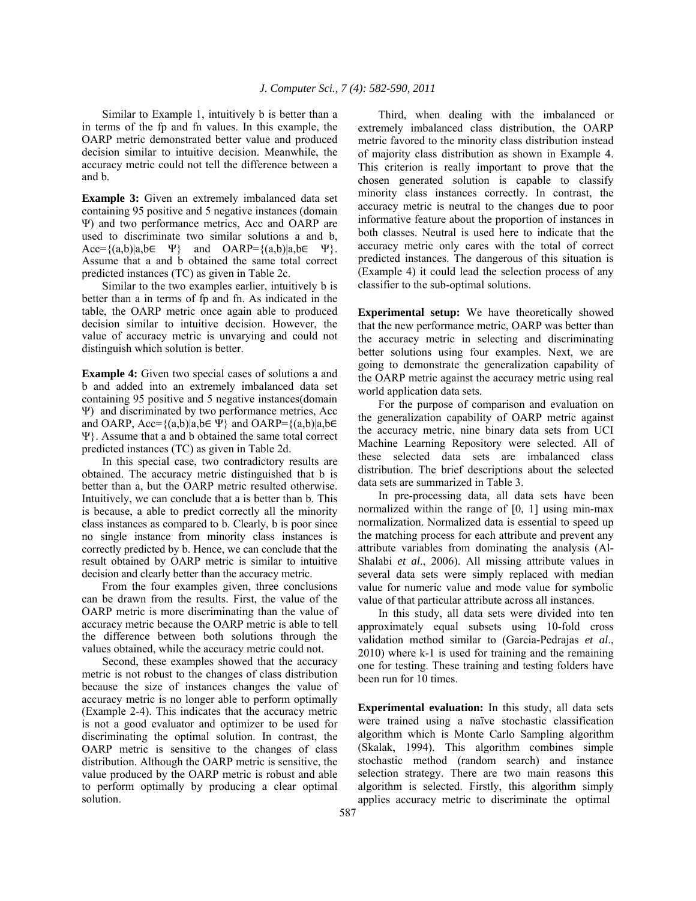Similar to Example 1, intuitively b is better than a in terms of the fp and fn values. In this example, the OARP metric demonstrated better value and produced decision similar to intuitive decision. Meanwhile, the accuracy metric could not tell the difference between a and b.

**Example 3:** Given an extremely imbalanced data set containing 95 positive and 5 negative instances (domain Ψ) and two performance metrics, Acc and OARP are used to discriminate two similar solutions a and b,  $Acc=\{(a,b)|a,b\in\Psi\}$  and  $OARP=\{(a,b)|a,b\in\Psi\}.$ Assume that a and b obtained the same total correct predicted instances (TC) as given in Table 2c.

 Similar to the two examples earlier, intuitively b is better than a in terms of fp and fn. As indicated in the table, the OARP metric once again able to produced decision similar to intuitive decision. However, the value of accuracy metric is unvarying and could not distinguish which solution is better.

**Example 4:** Given two special cases of solutions a and b and added into an extremely imbalanced data set containing 95 positive and 5 negative instances(domain Ψ) and discriminated by two performance metrics, Acc and OARP,  $Acc=\{(a,b)|a,b\in\Psi\}$  and OARP= $\{(a,b)|a,b\in\Psi\}$ Ψ}. Assume that a and b obtained the same total correct predicted instances (TC) as given in Table 2d.

 In this special case, two contradictory results are obtained. The accuracy metric distinguished that b is better than a, but the OARP metric resulted otherwise. Intuitively, we can conclude that a is better than b. This is because, a able to predict correctly all the minority class instances as compared to b. Clearly, b is poor since no single instance from minority class instances is correctly predicted by b. Hence, we can conclude that the result obtained by OARP metric is similar to intuitive decision and clearly better than the accuracy metric.

 From the four examples given, three conclusions can be drawn from the results. First, the value of the OARP metric is more discriminating than the value of accuracy metric because the OARP metric is able to tell the difference between both solutions through the values obtained, while the accuracy metric could not.

 Second, these examples showed that the accuracy metric is not robust to the changes of class distribution because the size of instances changes the value of accuracy metric is no longer able to perform optimally (Example 2-4). This indicates that the accuracy metric is not a good evaluator and optimizer to be used for discriminating the optimal solution. In contrast, the OARP metric is sensitive to the changes of class distribution. Although the OARP metric is sensitive, the value produced by the OARP metric is robust and able to perform optimally by producing a clear optimal solution.

 Third, when dealing with the imbalanced or extremely imbalanced class distribution, the OARP metric favored to the minority class distribution instead of majority class distribution as shown in Example 4. This criterion is really important to prove that the chosen generated solution is capable to classify minority class instances correctly. In contrast, the accuracy metric is neutral to the changes due to poor informative feature about the proportion of instances in both classes. Neutral is used here to indicate that the accuracy metric only cares with the total of correct predicted instances. The dangerous of this situation is (Example 4) it could lead the selection process of any classifier to the sub-optimal solutions.

**Experimental setup:** We have theoretically showed that the new performance metric, OARP was better than the accuracy metric in selecting and discriminating better solutions using four examples. Next, we are going to demonstrate the generalization capability of the OARP metric against the accuracy metric using real world application data sets.

 For the purpose of comparison and evaluation on the generalization capability of OARP metric against the accuracy metric, nine binary data sets from UCI Machine Learning Repository were selected. All of these selected data sets are imbalanced class distribution. The brief descriptions about the selected data sets are summarized in Table 3.

 In pre-processing data, all data sets have been normalized within the range of [0, 1] using min-max normalization. Normalized data is essential to speed up the matching process for each attribute and prevent any attribute variables from dominating the analysis (Al-Shalabi *et al*., 2006). All missing attribute values in several data sets were simply replaced with median value for numeric value and mode value for symbolic value of that particular attribute across all instances.

 In this study, all data sets were divided into ten approximately equal subsets using 10-fold cross validation method similar to (Garcia-Pedrajas *et al*., 2010) where k-1 is used for training and the remaining one for testing. These training and testing folders have been run for 10 times.

**Experimental evaluation:** In this study, all data sets were trained using a naïve stochastic classification algorithm which is Monte Carlo Sampling algorithm (Skalak, 1994). This algorithm combines simple stochastic method (random search) and instance selection strategy. There are two main reasons this algorithm is selected. Firstly, this algorithm simply applies accuracy metric to discriminate the optimal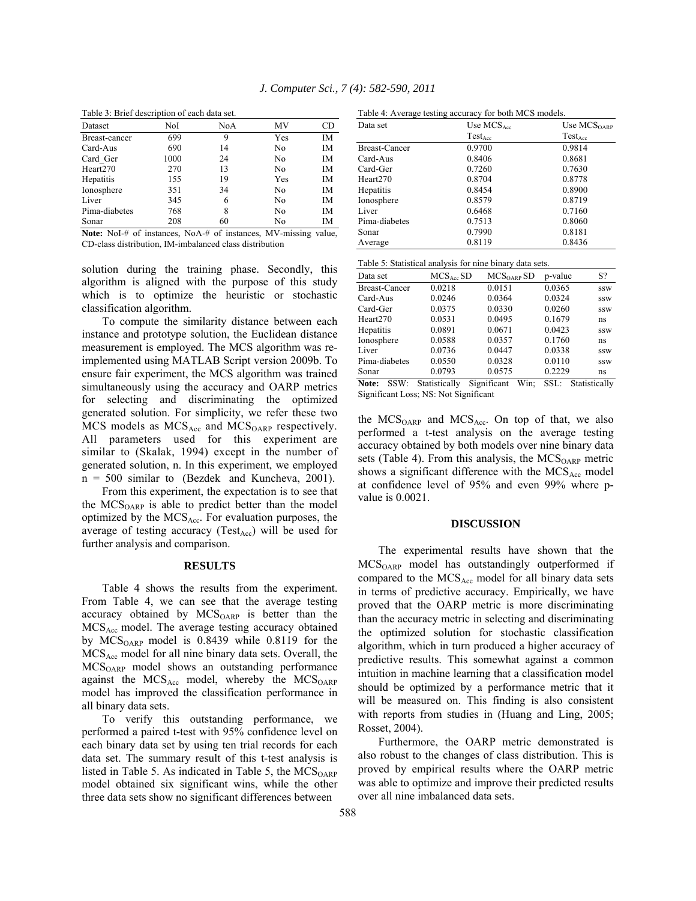| Dataset          | NoI  | NoA | ΜV  | CD |
|------------------|------|-----|-----|----|
| Breast-cancer    | 699  | 9   | Yes | IΜ |
| Card-Aus         | 690  | 14  | No  | IM |
| Card Ger         | 1000 | 24  | No  | IM |
| Heart270         | 270  | 13  | No  | IM |
| <b>Hepatitis</b> | 155  | 19  | Yes | IM |
| Ionosphere       | 351  | 34  | No  | IM |
| Liver            | 345  | 6   | No  | IM |
| Pima-diabetes    | 768  | 8   | No  | IM |
| Sonar            | 208  | 60  | No  | ĪΜ |

Table 3: Brief description of each data set.

**Note:** NoI-# of instances, NoA-# of instances, MV-missing value, CD-class distribution, IM-imbalanced class distribution

solution during the training phase. Secondly, this algorithm is aligned with the purpose of this study which is to optimize the heuristic or stochastic classification algorithm.

 To compute the similarity distance between each instance and prototype solution, the Euclidean distance measurement is employed. The MCS algorithm was reimplemented using MATLAB Script version 2009b. To ensure fair experiment, the MCS algorithm was trained simultaneously using the accuracy and OARP metrics for selecting and discriminating the optimized generated solution. For simplicity, we refer these two MCS models as  $MCS_{Acc}$  and  $MCS_{OARP}$  respectively. All parameters used for this experiment are similar to (Skalak, 1994) except in the number of generated solution, n. In this experiment, we employed n = 500 similar to (Bezdek and Kuncheva, 2001).

 From this experiment, the expectation is to see that the MCS<sub>OARP</sub> is able to predict better than the model optimized by the  $MCS<sub>Acc</sub>$ . For evaluation purposes, the average of testing accuracy (Test $_{Acc}$ ) will be used for further analysis and comparison.

#### **RESULTS**

 Table 4 shows the results from the experiment. From Table 4, we can see that the average testing accuracy obtained by  $MCS<sub>OARP</sub>$  is better than the  $MCS<sub>Acc</sub>$  model. The average testing accuracy obtained by  $MCS<sub>OARP</sub>$  model is 0.8439 while 0.8119 for the  $MCS<sub>Acc</sub>$  model for all nine binary data sets. Overall, the  $MCS<sub>OARP</sub>$  model shows an outstanding performance against the  $MCS_{Acc}$  model, whereby the  $MCS_{OARP}$ model has improved the classification performance in all binary data sets.

 To verify this outstanding performance, we performed a paired t-test with 95% confidence level on each binary data set by using ten trial records for each data set. The summary result of this t-test analysis is listed in Table 5. As indicated in Table 5, the  $MCS<sub>OARP</sub>$ model obtained six significant wins, while the other three data sets show no significant differences between

| Data set      | Use $MCSAcc$ | Use $\mathrm{MCS}_{\mathrm{OARP}}$ |
|---------------|--------------|------------------------------------|
|               | $Test_{Acc}$ | $Test_{Acc}$                       |
| Breast-Cancer | 0.9700       | 0.9814                             |
| Card-Aus      | 0.8406       | 0.8681                             |
| Card-Ger      | 0.7260       | 0.7630                             |
| Heart270      | 0.8704       | 0.8778                             |
| Hepatitis     | 0.8454       | 0.8900                             |
| Ionosphere    | 0.8579       | 0.8719                             |
| Liver         | 0.6468       | 0.7160                             |
| Pima-diabetes | 0.7513       | 0.8060                             |
| Sonar         | 0.7990       | 0.8181                             |
| Average       | 0.8119       | 0.8436                             |

| Table 5: Statistical analysis for nine binary data sets. |  |  |
|----------------------------------------------------------|--|--|
|                                                          |  |  |

| Data set             | $MCSAcc$ SD                     | MCS <sub>OARP</sub> SD          | p-value         | S?                                    |
|----------------------|---------------------------------|---------------------------------|-----------------|---------------------------------------|
| <b>Breast-Cancer</b> | 0.0218                          | 0.0151                          | 0.0365          | SSW                                   |
| Card-Aus             | 0.0246                          | 0.0364                          | 0.0324          | <b>SSW</b>                            |
| Card-Ger             | 0.0375                          | 0.0330                          | 0.0260          | <b>SSW</b>                            |
| Heart270             | 0.0531                          | 0.0495                          | 0.1679          | ns                                    |
| Hepatitis            | 0.0891                          | 0.0671                          | 0.0423          | <b>SSW</b>                            |
| Ionosphere           | 0.0588                          | 0.0357                          | 0.1760          | ns                                    |
| Liver                | 0.0736                          | 0.0447                          | 0.0338          | <b>SSW</b>                            |
| Pima-diabetes        | 0.0550                          | 0.0328                          | 0.0110          | <b>SSW</b>                            |
| Sonar                | 0.0793                          | 0.0575                          | 0.2229          | ns                                    |
| <b>NT</b> A<br>00117 | $C_{1}$ $I$ $I$ $I$ $I$ $I$ $I$ | $\alpha$ $\alpha$<br><b>TTT</b> | $\alpha \alpha$ | $C_1$ , $C_2$ , $C_3$ , $C_4$ , $C_5$ |

**Note:** SSW: Statistically Significant Win; SSL: Statistically Significant Loss; NS: Not Significant

the  $MCS<sub>OARP</sub>$  and  $MCS<sub>Acc</sub>$ . On top of that, we also performed a t-test analysis on the average testing accuracy obtained by both models over nine binary data sets (Table 4). From this analysis, the  $MCS<sub>OARP</sub>$  metric shows a significant difference with the  $MCS<sub>Acc</sub>$  model at confidence level of 95% and even 99% where pvalue is 0.0021.

#### **DISCUSSION**

 The experimental results have shown that the MCS<sub>OARP</sub> model has outstandingly outperformed if compared to the  $MCS<sub>Acc</sub>$  model for all binary data sets in terms of predictive accuracy. Empirically, we have proved that the OARP metric is more discriminating than the accuracy metric in selecting and discriminating the optimized solution for stochastic classification algorithm, which in turn produced a higher accuracy of predictive results. This somewhat against a common intuition in machine learning that a classification model should be optimized by a performance metric that it will be measured on. This finding is also consistent with reports from studies in (Huang and Ling, 2005; Rosset, 2004).

 Furthermore, the OARP metric demonstrated is also robust to the changes of class distribution. This is proved by empirical results where the OARP metric was able to optimize and improve their predicted results over all nine imbalanced data sets.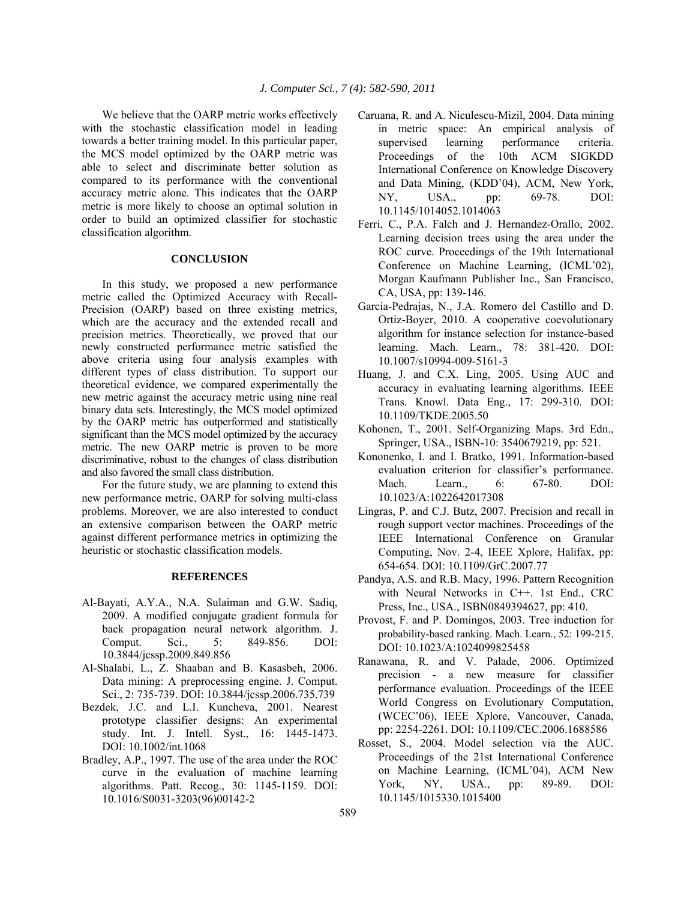We believe that the OARP metric works effectively with the stochastic classification model in leading towards a better training model. In this particular paper, the MCS model optimized by the OARP metric was able to select and discriminate better solution as compared to its performance with the conventional accuracy metric alone. This indicates that the OARP metric is more likely to choose an optimal solution in order to build an optimized classifier for stochastic classification algorithm.

## **CONCLUSION**

 In this study, we proposed a new performance metric called the Optimized Accuracy with Recall-Precision (OARP) based on three existing metrics, which are the accuracy and the extended recall and precision metrics. Theoretically, we proved that our newly constructed performance metric satisfied the above criteria using four analysis examples with different types of class distribution. To support our theoretical evidence, we compared experimentally the new metric against the accuracy metric using nine real binary data sets. Interestingly, the MCS model optimized by the OARP metric has outperformed and statistically significant than the MCS model optimized by the accuracy metric. The new OARP metric is proven to be more discriminative, robust to the changes of class distribution and also favored the small class distribution.

 For the future study, we are planning to extend this new performance metric, OARP for solving multi-class problems. Moreover, we are also interested to conduct an extensive comparison between the OARP metric against different performance metrics in optimizing the heuristic or stochastic classification models.

## **REFERENCES**

- Al-Bayati, A.Y.A., N.A. Sulaiman and G.W. Sadiq, 2009. A modified conjugate gradient formula for back propagation neural network algorithm. J. Comput. Sci., 5: 849-856. DOI: 10.3844/jcssp.2009.849.856
- Al-Shalabi, L., Z. Shaaban and B. Kasasbeh, 2006. Data mining: A preprocessing engine. J. Comput. Sci., 2: 735-739. DOI: 10.3844/jcssp.2006.735.739
- Bezdek, J.C. and L.I. Kuncheva, 2001. Nearest prototype classifier designs: An experimental study. Int. J. Intell. Syst., 16: 1445-1473. DOI: 10.1002/int.1068
- Bradley, A.P., 1997. The use of the area under the ROC curve in the evaluation of machine learning algorithms. Patt. Recog., 30: 1145-1159. DOI: 10.1016/S0031-3203(96)00142-2
- Caruana, R. and A. Niculescu-Mizil, 2004. Data mining in metric space: An empirical analysis of supervised learning performance criteria. Proceedings of the 10th ACM SIGKDD International Conference on Knowledge Discovery and Data Mining, (KDD'04), ACM, New York, NY, USA., pp: 69-78. DOI: 10.1145/1014052.1014063
- Ferri, C., P.A. Falch and J. Hernandez-Orallo, 2002. Learning decision trees using the area under the ROC curve. Proceedings of the 19th International Conference on Machine Learning, (ICML'02), Morgan Kaufmann Publisher Inc., San Francisco, CA, USA, pp: 139-146.
- Garcia-Pedrajas, N., J.A. Romero del Castillo and D. Ortiz-Boyer, 2010. A cooperative coevolutionary algorithm for instance selection for instance-based learning. Mach. Learn., 78: 381-420. DOI: 10.1007/s10994-009-5161-3
- Huang, J. and C.X. Ling, 2005. Using AUC and accuracy in evaluating learning algorithms. IEEE Trans. Knowl. Data Eng., 17: 299-310. DOI: 10.1109/TKDE.2005.50
- Kohonen, T., 2001. Self-Organizing Maps. 3rd Edn., Springer, USA., ISBN-10: 3540679219, pp: 521.
- Kononenko, I. and I. Bratko, 1991. Information-based evaluation criterion for classifier's performance. Mach. Learn., 6: 67-80. DOI: 10.1023/A:1022642017308
- Lingras, P. and C.J. Butz, 2007. Precision and recall in rough support vector machines. Proceedings of the IEEE International Conference on Granular Computing, Nov. 2-4, IEEE Xplore, Halifax, pp: 654-654. DOI: 10.1109/GrC.2007.77
- Pandya, A.S. and R.B. Macy, 1996. Pattern Recognition with Neural Networks in C++. 1st End., CRC Press, Inc., USA., ISBN0849394627, pp: 410.
- Provost, F. and P. Domingos, 2003. Tree induction for probability-based ranking. Mach. Learn., 52: 199-215. DOI: 10.1023/A:1024099825458
- Ranawana, R. and V. Palade, 2006. Optimized precision - a new measure for classifier performance evaluation. Proceedings of the IEEE World Congress on Evolutionary Computation, (WCEC'06), IEEE Xplore, Vancouver, Canada, pp: 2254-2261. DOI: 10.1109/CEC.2006.1688586
- Rosset, S., 2004. Model selection via the AUC. Proceedings of the 21st International Conference on Machine Learning, (ICML'04), ACM New York, NY, USA., pp: 89-89. DOI: 10.1145/1015330.1015400